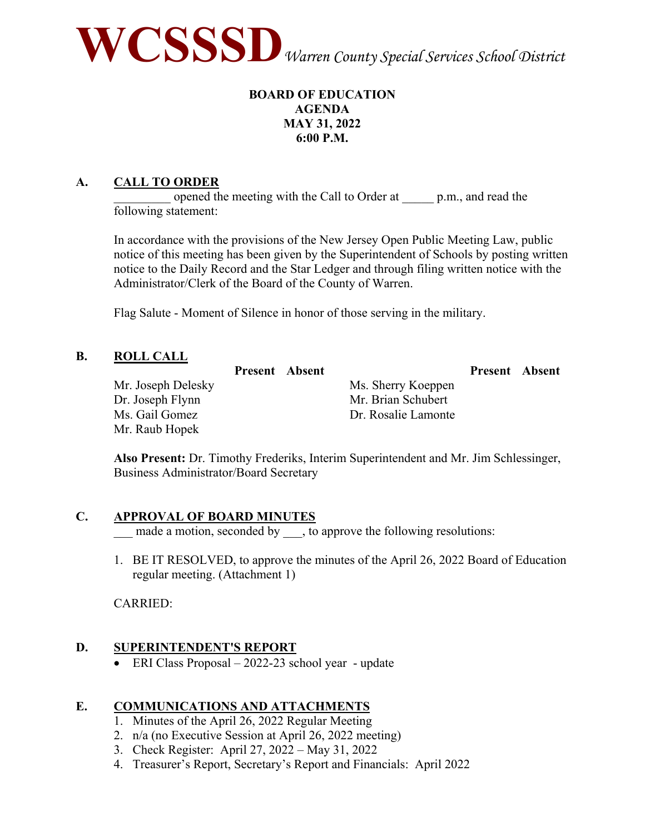

# **BOARD OF EDUCATION AGENDA MAY 31, 2022 6:00 P.M.**

# **A. CALL TO ORDER**

opened the meeting with the Call to Order at p.m., and read the following statement:

In accordance with the provisions of the New Jersey Open Public Meeting Law, public notice of this meeting has been given by the Superintendent of Schools by posting written notice to the Daily Record and the Star Ledger and through filing written notice with the Administrator/Clerk of the Board of the County of Warren.

Flag Salute - Moment of Silence in honor of those serving in the military.

#### **B. ROLL CALL**

|                    | <b>Present</b> Absent |                     | <b>Present</b> Absent |  |
|--------------------|-----------------------|---------------------|-----------------------|--|
| Mr. Joseph Delesky |                       | Ms. Sherry Koeppen  |                       |  |
| Dr. Joseph Flynn   |                       | Mr. Brian Schubert  |                       |  |
| Ms. Gail Gomez     |                       | Dr. Rosalie Lamonte |                       |  |
| Mr. Raub Hopek     |                       |                     |                       |  |

**Also Present:** Dr. Timothy Frederiks, Interim Superintendent and Mr. Jim Schlessinger, Business Administrator/Board Secretary

# **C. APPROVAL OF BOARD MINUTES**

\_\_\_ made a motion, seconded by \_\_\_, to approve the following resolutions:

1. BE IT RESOLVED, to approve the minutes of the April 26, 2022 Board of Education regular meeting. (Attachment 1)

CARRIED:

# **D. SUPERINTENDENT'S REPORT**

• ERI Class Proposal – 2022-23 school year - update

# **E. COMMUNICATIONS AND ATTACHMENTS**

- 1. Minutes of the April 26, 2022 Regular Meeting
- 2. n/a (no Executive Session at April 26, 2022 meeting)
- 3. Check Register: April 27, 2022 May 31, 2022
- 4. Treasurer's Report, Secretary's Report and Financials: April 2022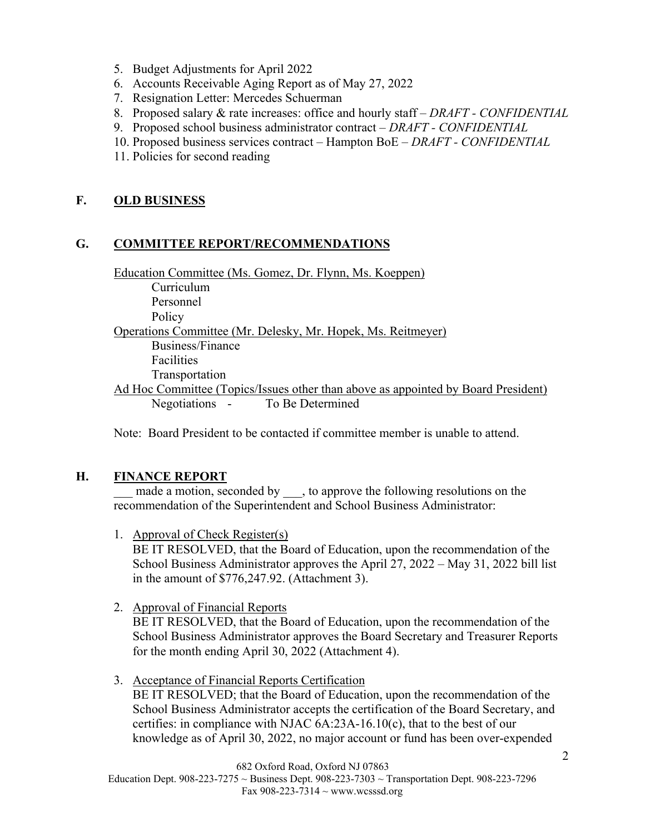- 5. Budget Adjustments for April 2022
- 6. Accounts Receivable Aging Report as of May 27, 2022
- 7. Resignation Letter: Mercedes Schuerman
- 8. Proposed salary & rate increases: office and hourly staff *DRAFT CONFIDENTIAL*
- 9. Proposed school business administrator contract *DRAFT CONFIDENTIAL*
- 10. Proposed business services contract Hampton BoE *DRAFT CONFIDENTIAL*
- 11. Policies for second reading

# **F. OLD BUSINESS**

# **G. COMMITTEE REPORT/RECOMMENDATIONS**

Education Committee (Ms. Gomez, Dr. Flynn, Ms. Koeppen) Curriculum Personnel **Policy** Operations Committee (Mr. Delesky, Mr. Hopek, Ms. Reitmeyer) Business/Finance Facilities Transportation Ad Hoc Committee (Topics/Issues other than above as appointed by Board President) Negotiations - To Be Determined

Note: Board President to be contacted if committee member is unable to attend.

# **H. FINANCE REPORT**

made a motion, seconded by , to approve the following resolutions on the recommendation of the Superintendent and School Business Administrator:

1. Approval of Check Register(s)

BE IT RESOLVED, that the Board of Education, upon the recommendation of the School Business Administrator approves the April 27, 2022 – May 31, 2022 bill list in the amount of \$776,247.92. (Attachment 3).

2. Approval of Financial Reports

BE IT RESOLVED, that the Board of Education, upon the recommendation of the School Business Administrator approves the Board Secretary and Treasurer Reports for the month ending April 30, 2022 (Attachment 4).

3. Acceptance of Financial Reports Certification

BE IT RESOLVED; that the Board of Education, upon the recommendation of the School Business Administrator accepts the certification of the Board Secretary, and certifies: in compliance with NJAC 6A:23A-16.10(c), that to the best of our knowledge as of April 30, 2022, no major account or fund has been over-expended

682 Oxford Road, Oxford NJ 07863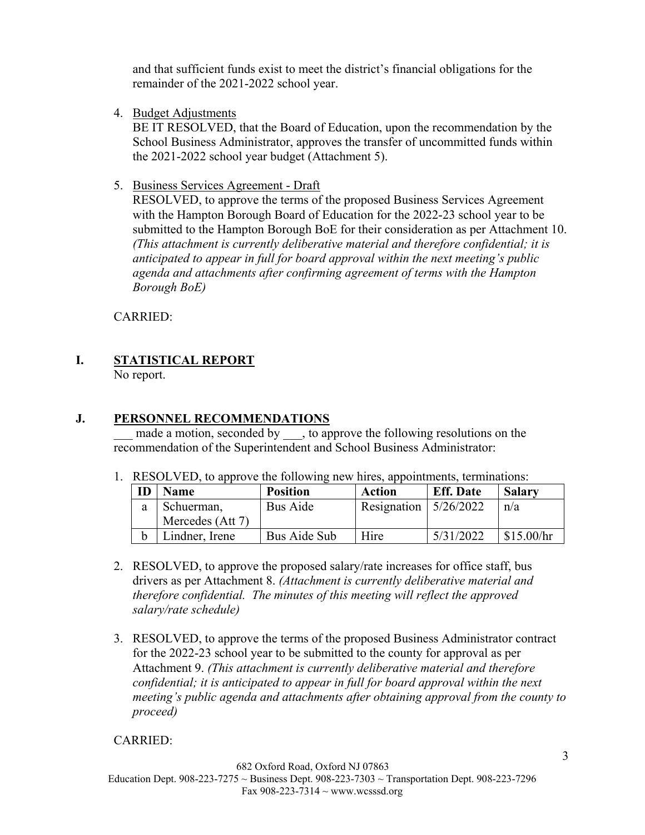and that sufficient funds exist to meet the district's financial obligations for the remainder of the 2021-2022 school year.

4. Budget Adjustments

BE IT RESOLVED, that the Board of Education, upon the recommendation by the School Business Administrator, approves the transfer of uncommitted funds within the 2021-2022 school year budget (Attachment 5).

5. Business Services Agreement - Draft

RESOLVED, to approve the terms of the proposed Business Services Agreement with the Hampton Borough Board of Education for the 2022-23 school year to be submitted to the Hampton Borough BoE for their consideration as per Attachment 10. *(This attachment is currently deliberative material and therefore confidential; it is anticipated to appear in full for board approval within the next meeting's public agenda and attachments after confirming agreement of terms with the Hampton Borough BoE)*

CARRIED:

# **I. STATISTICAL REPORT**

No report.

# **J. PERSONNEL RECOMMENDATIONS**

made a motion, seconded by , to approve the following resolutions on the recommendation of the Superintendent and School Business Administrator:

1. RESOLVED, to approve the following new hires, appointments, terminations:

| ID | <b>Name</b>      | <b>Position</b> | Action                    | <b>Eff.</b> Date | <b>Salary</b> |
|----|------------------|-----------------|---------------------------|------------------|---------------|
| a  | Schuerman,       | Bus Aide        | Resignation   $5/26/2022$ |                  | n/a           |
|    | Mercedes (Att 7) |                 |                           |                  |               |
| h  | indner, Irene    | Bus Aide Sub    | Hire                      | 5/31/2022        | \$15.00/hr    |

- 2. RESOLVED, to approve the proposed salary/rate increases for office staff, bus drivers as per Attachment 8. *(Attachment is currently deliberative material and therefore confidential. The minutes of this meeting will reflect the approved salary/rate schedule)*
- 3. RESOLVED, to approve the terms of the proposed Business Administrator contract for the 2022-23 school year to be submitted to the county for approval as per Attachment 9. *(This attachment is currently deliberative material and therefore confidential; it is anticipated to appear in full for board approval within the next meeting's public agenda and attachments after obtaining approval from the county to proceed)*

# CARRIED: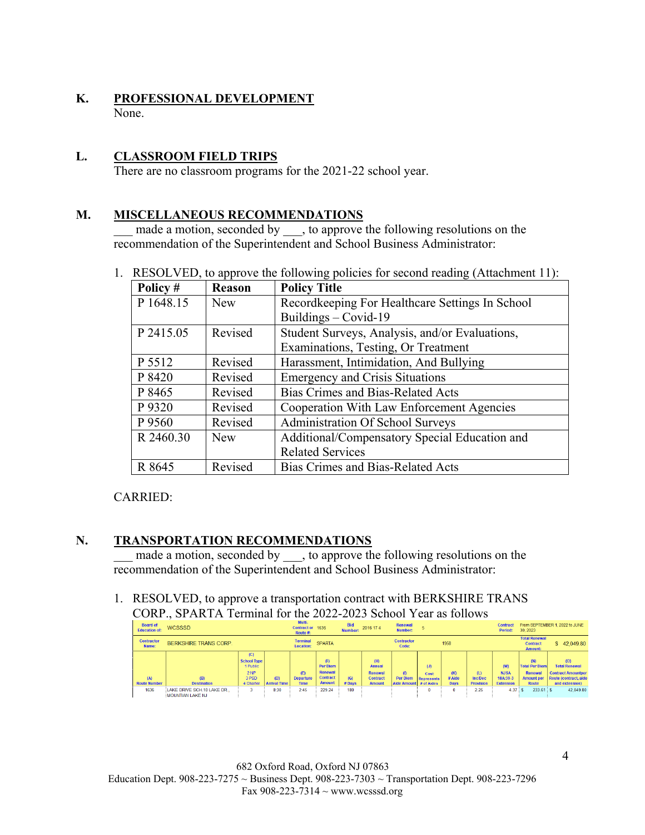# **K. PROFESSIONAL DEVELOPMENT** None.

# **L. CLASSROOM FIELD TRIPS**

There are no classroom programs for the 2021-22 school year.

#### **M. MISCELLANEOUS RECOMMENDATIONS**

made a motion, seconded by , to approve the following resolutions on the recommendation of the Superintendent and School Business Administrator:

| Policy #  | Reason     | <b>Policy Title</b>                             |
|-----------|------------|-------------------------------------------------|
| P 1648.15 | <b>New</b> | Recordkeeping For Healthcare Settings In School |
|           |            | Buildings $-$ Covid-19                          |
| P 2415.05 | Revised    | Student Surveys, Analysis, and/or Evaluations,  |
|           |            | Examinations, Testing, Or Treatment             |
| P 5512    | Revised    | Harassment, Intimidation, And Bullying          |
| P 8420    | Revised    | <b>Emergency and Crisis Situations</b>          |
| P 8465    | Revised    | <b>Bias Crimes and Bias-Related Acts</b>        |
| P 9320    | Revised    | Cooperation With Law Enforcement Agencies       |
| P 9560    | Revised    | Administration Of School Surveys                |
| R 2460.30 | New        | Additional/Compensatory Special Education and   |
|           |            | <b>Related Services</b>                         |
| R 8645    | Revised    | <b>Bias Crimes and Bias-Related Acts</b>        |

# 1. RESOLVED, to approve the following policies for second reading (Attachment 11):

# CARRIED:

# **N. TRANSPORTATION RECOMMENDATIONS**

made a motion, seconded by \_\_\_, to approve the following resolutions on the recommendation of the Superintendent and School Business Administrator:

1. RESOLVED, to approve a transportation contract with BERKSHIRE TRANS CORP., SPARTA Terminal for the 2022-2023 School Year as follows

| <b>Board of</b><br><b>Education of:</b> | <b>WCSSSD</b>                                     |                                       |                            | Multi-<br>Contract or 1636<br>Route #: |                                   | <b>Bid</b><br>Number: | 2016 174                                    | Renewal<br>Number:                        |                    |                              |                                    | <b>Contract</b><br>Period:                  | 30, 2023                                                  | From SEPTEMBER 1, 2022 to JUNE                                       |
|-----------------------------------------|---------------------------------------------------|---------------------------------------|----------------------------|----------------------------------------|-----------------------------------|-----------------------|---------------------------------------------|-------------------------------------------|--------------------|------------------------------|------------------------------------|---------------------------------------------|-----------------------------------------------------------|----------------------------------------------------------------------|
| <b>Contractor</b><br>Name:              | <b>BERKSHIRE TRANS CORP.</b>                      |                                       |                            | <b>Terminal</b><br>Location:           | <b>SPARTA</b>                     |                       |                                             | <b>Contractor</b><br>Code:                |                    | 1958                         |                                    |                                             | <b>Total Renewal</b><br><b>Contract</b><br><b>Amount:</b> | \$42.049.80                                                          |
|                                         |                                                   | (C)<br><b>School Type</b><br>1 Public |                            |                                        | (F)<br><b>Per Diem</b><br>Renewal |                       | (H)<br><b>Annual</b>                        |                                           | (J)                |                              |                                    | (M)                                         | (N)<br><b>Total Per Diem</b>                              | (O)<br><b>Total Renewal</b>                                          |
| (A)<br><b>Route Number</b>              | (B)<br><b>Destination</b>                         | 2 <sub>NP</sub><br>3 PSD<br>4 Charter | (D)<br><b>Arrival Time</b> | (E)<br><b>Departure</b><br><b>Time</b> | <b>Contract</b><br><b>Amount</b>  | (G)<br>$#$ Days       | Renewal<br><b>Contract</b><br><b>Amount</b> | (1)<br>Per Diem<br>Aide Amount # of Aides | Cost<br>Represents | (K)<br># Aide<br><b>Days</b> | (L)<br>Inc/Dec<br><b>Provision</b> | <b>NJSA</b><br>18A:39-3<br><b>Extension</b> | Renewal<br><b>Amount per</b><br><b>Route</b>              | <b>Contract Amountper</b><br>Route (contract, aide<br>and extension) |
| 1636                                    | LAKE DRIVE SCH.10 LAKE DR.,<br>MOUNTIAN LAKE N.I. |                                       | 8:30                       | 2:45                                   | 229.24                            | 180                   |                                             |                                           |                    |                              | 2.25                               | 4.37                                        | $233.61$ S                                                | 42.049.80                                                            |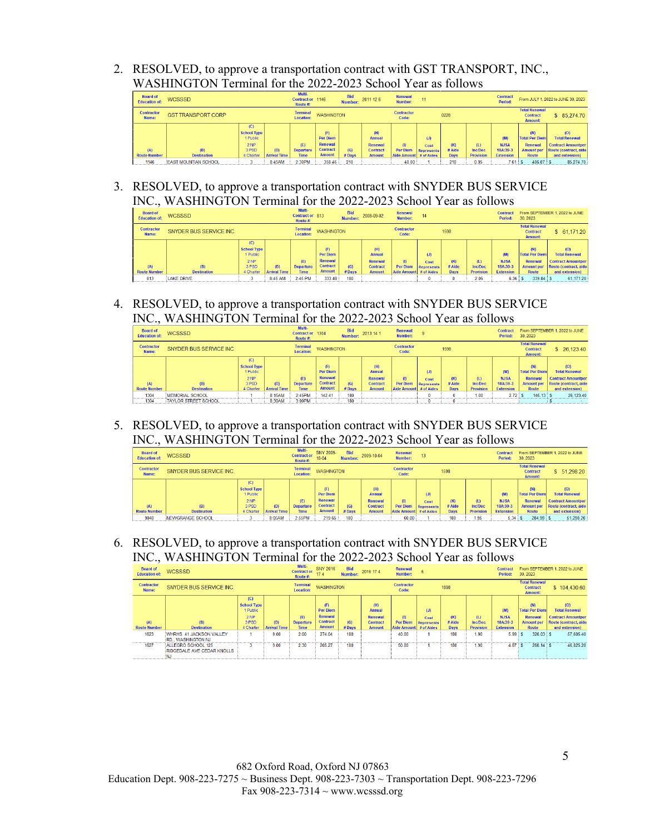2. RESOLVED, to approve a transportation contract with GST TRANSPORT, INC., WASHINGTON Terminal for the 2022-2023 School Year as follows

| <b>Board of</b><br><b>Education of:</b> | <b>WCSSSD</b>               |                                                                                |                            | Multi-<br>Contract or 1146<br>Route #: |                                                                | <b>Bid</b><br>Number: | 2011 12 6                                                           | Renewal<br>Number:                                 |                           |                              |                                    | <b>Contract</b><br>Period:                         |                                                                                     | From JULY 1, 2022 to JUNE 30, 2023                                                                  |
|-----------------------------------------|-----------------------------|--------------------------------------------------------------------------------|----------------------------|----------------------------------------|----------------------------------------------------------------|-----------------------|---------------------------------------------------------------------|----------------------------------------------------|---------------------------|------------------------------|------------------------------------|----------------------------------------------------|-------------------------------------------------------------------------------------|-----------------------------------------------------------------------------------------------------|
| <b>Contractor</b><br>Name:              | <b>GST TRANSPORT CORP</b>   |                                                                                |                            | <b>Terminal</b><br><b>Location:</b>    | <b>WASHINGTON</b>                                              |                       |                                                                     | <b>Contractor</b><br>Code:                         |                           | 0228                         |                                    |                                                    | <b>Total Renewal</b><br><b>Contract</b><br><b>Amount:</b>                           | \$ 85,274.70                                                                                        |
| (A)<br><b>Route Number</b>              | (B)<br><b>Destination</b>   | (C)<br><b>School Type</b><br>1 Public<br>2 <sub>NP</sub><br>3 PSD<br>4 Charter | (D)<br><b>Arrival Time</b> | (E)<br><b>Departure</b><br><b>Time</b> | (F)<br>Per Diem<br>Renewal<br><b>Contract</b><br><b>Amount</b> | (G)<br>#Days          | (H)<br><b>Annual</b><br>Renewal<br><b>Contract</b><br><b>Amount</b> | (1)<br><b>Per Diem</b><br>Aide Amount   # of Aides | (J)<br>Cost<br>Represents | (K)<br># Aide<br><b>Days</b> | (L)<br>Inc/Dec<br><b>Provision</b> | (M)<br><b>NJSA</b><br>18A:39-3<br><b>Extension</b> | (N)<br><b>Total Per Diem</b><br><b>Renewal</b><br><b>Amount per</b><br><b>Route</b> | (0)<br><b>Total Renewal</b><br><b>Contract Amountper</b><br>Route (contract, aide<br>and extension) |
| 1146                                    | <b>EAST MOUNTIAN SCHOOL</b> |                                                                                | 8:45AM                     | 2:30PM                                 | 358.46                                                         | 210                   |                                                                     | 40.00                                              |                           | 210                          | 0.95                               | 7.61                                               | $406.07$ S                                                                          | 85,274.70                                                                                           |

3. RESOLVED, to approve a transportation contract with SNYDER BUS SERVICE INC., WASHINGTON Terminal for the 2022-2023 School Year as follows

| <b>Board of</b><br><b>Education of:</b> | <b>WCSSSD</b>             |                                                                     |                            | Multi-<br>Contract or 813<br>Route #:  |                                                                       | <b>Bid</b><br>Number: | 2008-09-02                                                          | <b>Renewal</b><br>Number:                             | 14                               |                              |                                    | <b>Contract</b><br>Period:                         | 30.2023                                                                      | From SEPTEMBER 1, 2022 to JUNE                                                                      |
|-----------------------------------------|---------------------------|---------------------------------------------------------------------|----------------------------|----------------------------------------|-----------------------------------------------------------------------|-----------------------|---------------------------------------------------------------------|-------------------------------------------------------|----------------------------------|------------------------------|------------------------------------|----------------------------------------------------|------------------------------------------------------------------------------|-----------------------------------------------------------------------------------------------------|
| <b>Contractor</b><br>Name:              | SNYDER BUS SERVICE INC.   |                                                                     |                            | <b>Terminal</b><br><b>Location:</b>    | <b>WASHINGTON</b>                                                     |                       |                                                                     | <b>Contractor</b><br>Code:                            |                                  | 1598                         |                                    |                                                    | <b>Total Renewal</b><br><b>Contract</b><br><b>Amount:</b>                    | \$61,171,20                                                                                         |
| (A)<br><b>Route Number</b>              | (B)<br><b>Destination</b> | (C)<br><b>School Type</b><br>1 Public<br>2 NP<br>3 PSD<br>4 Charter | (D)<br><b>Arrival Time</b> | (E)<br><b>Departure</b><br><b>Time</b> | (F)<br><b>Per Diem</b><br>Renewal<br><b>Contract</b><br><b>Amount</b> | (G)<br># Days         | (H)<br><b>Annual</b><br>Renewal<br><b>Contract</b><br><b>Amount</b> | $\omega$<br><b>Per Diem</b><br>Aide Amount # of Aides | (J)<br>Cost<br><b>Represents</b> | (K)<br># Aide<br><b>Days</b> | (L)<br>Inc/Dec<br><b>Provision</b> | (M)<br><b>NJSA</b><br>18A:39-3<br><b>Extension</b> | (N)<br><b>Total Per Diem</b><br>Renewal<br><b>Amount per</b><br><b>Route</b> | (O)<br><b>Total Renewal</b><br><b>Contract Amountper</b><br>Route (contract, aide<br>and extension) |
| 813                                     | <b>LAKE DRIVE</b>         |                                                                     | 8:45 AM                    | 2:45 PM                                | 333.48                                                                | 180                   |                                                                     |                                                       |                                  |                              | 2.05                               | 6.36                                               | 339.84 S                                                                     | 61.171.20                                                                                           |

4. RESOLVED, to approve a transportation contract with SNYDER BUS SERVICE INC., WASHINGTON Terminal for the 2022-2023 School Year as follows

| <b>Board of</b><br><b>Education of:</b> | <b>WCSSSD</b>               |                                                                     |                            | Multi-<br>Contract or 1304<br>Route #: |                                                                       | <b>Bid</b><br>Number: | 2013 14 1                                                           | Renewal<br><b>Number:</b>                             |                           |                              |                                    | <b>Contract</b><br>Period:                         | 30.2023                                                                      | From SEPTEMBER 1, 2022 to JUNE                                                                       |
|-----------------------------------------|-----------------------------|---------------------------------------------------------------------|----------------------------|----------------------------------------|-----------------------------------------------------------------------|-----------------------|---------------------------------------------------------------------|-------------------------------------------------------|---------------------------|------------------------------|------------------------------------|----------------------------------------------------|------------------------------------------------------------------------------|------------------------------------------------------------------------------------------------------|
| <b>Contractor</b><br>Name:              | SNYDER BUS SERVICE INC      |                                                                     |                            | <b>Terminal</b><br><b>Location:</b>    | <b>WASHINGTON</b>                                                     |                       |                                                                     | <b>Contractor</b><br>Code:                            |                           | 1598                         |                                    |                                                    | <b>Total Renewal</b><br><b>Contract</b><br><b>Amount:</b>                    | \$26,123.40                                                                                          |
| (A)<br><b>Route Number</b>              | (B)<br><b>Destination</b>   | (C)<br><b>School Type</b><br>1 Public<br>2 NP<br>3 PSD<br>4 Charter | (D)<br><b>Arrival Time</b> | (E)<br><b>Departure</b><br><b>Time</b> | (F)<br><b>Per Diem</b><br>Renewal<br><b>Contract</b><br><b>Amount</b> | (G)<br>#Days          | (H)<br><b>Annual</b><br>Renewal<br><b>Contract</b><br><b>Amount</b> | $\omega$<br><b>Per Diem</b><br>Aide Amount # of Aides | (J)<br>Cost<br>Represents | (K)<br># Aide<br><b>Days</b> | (L)<br>Inc/Dec<br><b>Provision</b> | (M)<br><b>NJSA</b><br>18A:39-3<br><b>Extension</b> | (N)<br><b>Total Per Diem</b><br>Renewal<br><b>Amount per</b><br><b>Route</b> | (O)<br><b>Total Renewal</b><br><b>Contract Amountper</b><br>Route (contract, aide)<br>and extension) |
| 1304                                    | <b>IMEMORIAL SCHOOL</b>     |                                                                     | 8:15AM                     | 2:45PM                                 | 142.41                                                                | 180                   |                                                                     |                                                       | $\mathbf{r}$              |                              | 100                                | 2.72:                                              | $145.13$ S                                                                   | 26.123.40                                                                                            |
| 1304                                    | <b>TAYLOR STREET SCHOOL</b> |                                                                     | 8:30AM                     | 3:00PM                                 |                                                                       | 180                   |                                                                     |                                                       |                           |                              |                                    |                                                    |                                                                              |                                                                                                      |

5. RESOLVED, to approve a transportation contract with SNYDER BUS SERVICE INC., WASHINGTON Terminal for the 2022-2023 School Year as follows

| <b>Board of</b><br><b>Education of:</b> | <b>WCSSSD</b>           |                                                                   |                     | Multi-<br><b>Contract or</b><br>Route #: | <b>SNY 2009-</b><br>$10 - 04$                 | <b>Bid</b><br>Number: | 2009-10-04                                  | Renewal<br>Number:         | 13                        |               |                       | <b>Contract</b><br>Period:     | 30.2023                                                      | From SEPTEMBER 1, 2022 to JUNE                                                            |
|-----------------------------------------|-------------------------|-------------------------------------------------------------------|---------------------|------------------------------------------|-----------------------------------------------|-----------------------|---------------------------------------------|----------------------------|---------------------------|---------------|-----------------------|--------------------------------|--------------------------------------------------------------|-------------------------------------------------------------------------------------------|
| <b>Contractor</b><br>Name:              | SNYDER BUS SERVICE INC. |                                                                   |                     | <b>Terminal</b><br><b>Location:</b>      | <b>WASHINGTON</b>                             |                       |                                             | <b>Contractor</b><br>Code: |                           | 1598          |                       |                                | <b>Total Renewal</b><br><b>Contract</b><br><b>Amount:</b>    | \$ 51,298.20                                                                              |
| (A)                                     | (B)                     | (C)<br><b>School Type</b><br>1 Public<br>2 <sub>NP</sub><br>3 PSD | (D)                 | (E)<br><b>Departure</b>                  | (F)<br>Per Diem<br>Renewal<br><b>Contract</b> | (G)                   | (H)<br>Annual<br>Renewal<br><b>Contract</b> | (1)<br><b>Per Diem</b>     | (J)<br>Cost<br>Represents | (K)<br># Aide | (L)<br><b>Inc/Dec</b> | (M)<br><b>NJSA</b><br>18A:39-3 | (N)<br><b>Total Per Diem</b><br>Renewal<br><b>Amount per</b> | (0)<br><b>Total Renewal</b><br><b>Contract Amountper</b><br><b>Route (contract, aide)</b> |
| <b>Route Number</b>                     | <b>Destination</b>      | 4 Charter                                                         | <b>Arrival Time</b> | <b>Time</b>                              | <b>Amount</b>                                 | #Days                 | <b>Amount</b>                               | Aide Amount # of Aides     |                           | <b>Days</b>   | <b>Provision</b>      | <b>Extension</b>               | <b>Route</b>                                                 | and extension)                                                                            |
| 9040                                    | NEWGRANGE SCHOOL        |                                                                   | 8:05AM              | 2:55PM                                   | 219.65                                        | 180                   |                                             | 60.00                      |                           | 180           | 1.95                  | 5.34                           | 284.99 \$                                                    | 51.298.20                                                                                 |

6. RESOLVED, to approve a transportation contract with SNYDER BUS SERVICE INC., WASHINGTON Terminal for the 2022-2023 School Year as follows

| <b>Board of</b><br><b>Education of:</b> | <b>WCSSSD</b>                                        |                                                                     |                            | Multi-<br><b>Contract or</b><br>Route #: | <b>SNY 2016</b><br>174                                                | <b>Bid</b><br>Number: | 2016 174                                                                   | Renewal<br>Number:                                |                                                |                       |                                           | <b>Contract</b><br>Period:                         | 30, 2023                                                                            | From SEPTEMBER 1, 2022 to JUNE                                                                      |
|-----------------------------------------|------------------------------------------------------|---------------------------------------------------------------------|----------------------------|------------------------------------------|-----------------------------------------------------------------------|-----------------------|----------------------------------------------------------------------------|---------------------------------------------------|------------------------------------------------|-----------------------|-------------------------------------------|----------------------------------------------------|-------------------------------------------------------------------------------------|-----------------------------------------------------------------------------------------------------|
| <b>Contractor</b><br>Name:              | SNYDER BUS SERVICE INC.                              |                                                                     |                            | <b>Terminal</b><br><b>Location:</b>      | <b>WASHINGTON</b>                                                     |                       |                                                                            | <b>Contractor</b><br>Code:                        |                                                | 1598                  |                                           |                                                    | <b>Total Renewal</b><br><b>Contract</b><br><b>Amount:</b>                           | \$104,430.60                                                                                        |
| (A)<br><b>Route Number</b>              | (B)<br><b>Destination</b>                            | (C)<br><b>School Type</b><br>1 Public<br>2 NP<br>3 PSD<br>4 Charter | (D)<br><b>Arrival Time</b> | (E)<br><b>Departure</b><br><b>Time</b>   | (F)<br><b>Per Diem</b><br>Renewal<br><b>Contract</b><br><b>Amount</b> | (G)<br>$#$ Days       | (H)<br><b>Annual</b><br><b>Renewal</b><br><b>Contract</b><br><b>Amount</b> | $\omega$<br><b>Per Diem</b><br><b>Aide Amount</b> | (J)<br>Cost<br><b>Represents</b><br># of Aides | (K)<br># Aide<br>Days | (L)<br><b>Inc/Dec</b><br><b>Provision</b> | (M)<br><b>NJSA</b><br>18A:39-3<br><b>Extension</b> | (N)<br><b>Total Per Diem</b><br><b>Renewal</b><br><b>Amount per</b><br><b>Route</b> | (0)<br><b>Total Renewal</b><br><b>Contract Amountper</b><br>Route (contract, aide<br>and extension) |
| 1623                                    | WHRHS 41 JACKSON VALLEY<br><b>RD., WASHINGTON NJ</b> |                                                                     | 9:00                       | 2.00                                     | 274.04                                                                | 180                   |                                                                            | 40.00                                             |                                                | 180                   | 1.90                                      | 5.99                                               | $320.03$ S<br>1 S.                                                                  | 57.605.40                                                                                           |
| 1627                                    | ALLEGRO SCHOOL 125<br>RIDGEDALE AVE CEDAR KNOLLS     |                                                                     | 9:00                       | 2:30                                     | 205.27                                                                | 180                   |                                                                            | 50.00                                             |                                                | 180                   | 1.90                                      | $4.87:$ S                                          | $260.14$ S                                                                          | 46.825.20                                                                                           |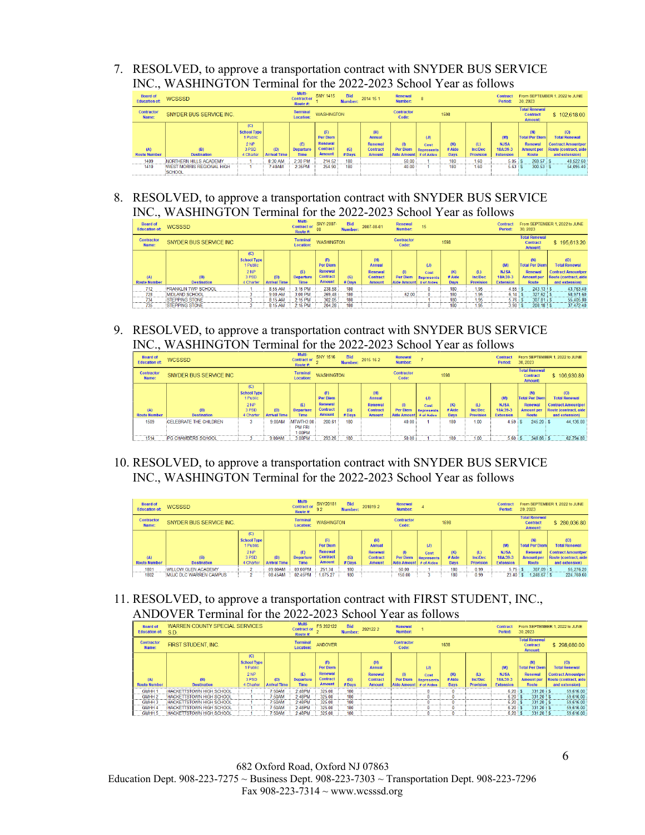7. RESOLVED, to approve a transportation contract with SNYDER BUS SERVICE INC., WASHINGTON Terminal for the 2022-2023 School Year as follows

| <b>Board of</b><br><b>Education of:</b> | <b>WCSSSD</b>                              |                                                                   |                            | Multi-<br><b>Contract or</b><br>Route #: | <b>SNY 1415</b>                                                       | <b>Bid</b><br>Number: | 2014 15 1                                                           | Renewal<br>Number:                                 |                                  |                                |                                           | <b>Contract</b><br>Period:                         | 30, 2023                                                              | From SEPTEMBER 1, 2022 to JUNE                                                                       |
|-----------------------------------------|--------------------------------------------|-------------------------------------------------------------------|----------------------------|------------------------------------------|-----------------------------------------------------------------------|-----------------------|---------------------------------------------------------------------|----------------------------------------------------|----------------------------------|--------------------------------|-------------------------------------------|----------------------------------------------------|-----------------------------------------------------------------------|------------------------------------------------------------------------------------------------------|
| <b>Contractor</b><br>Name:              | SNYDER BUS SERVICE INC.                    |                                                                   |                            | <b>Terminal</b><br><b>Location:</b>      | <b>WASHINGTON</b>                                                     |                       |                                                                     | <b>Contractor</b><br>Code:                         |                                  | 1598                           |                                           |                                                    | <b>Total Renewal</b><br><b>Contract</b><br><b>Amount:</b>             | \$102,618.00                                                                                         |
| (A)<br><b>Route Number</b>              | (B)<br><b>Destination</b>                  | (C)<br><b>School Type</b><br>Public<br>2 NP<br>3 PSD<br>4 Charter | (D)<br><b>Arrival Time</b> | (E)<br><b>Departure</b><br><b>Time</b>   | (F)<br><b>Per Diem</b><br>Renewal<br><b>Contract</b><br><b>Amount</b> | (G)<br>$#$ Davs       | (H)<br><b>Annual</b><br>Renewal<br><b>Contract</b><br><b>Amount</b> | $\mathbf{r}$<br>Per Diem<br>Aide Amount # of Aides | (J)<br>Cost<br><b>Represents</b> | (K)<br>$#$ Aide<br><b>Davs</b> | (L)<br><b>Inc/Dec</b><br><b>Provision</b> | (M)<br><b>NJSA</b><br>18A:39-3<br><b>Extension</b> | (N)<br><b>Total Per Diem</b><br>Renewal<br><b>Amount per</b><br>Route | (0)<br><b>Total Renewal</b><br><b>Contract Amountper</b><br>Route (contract, aide)<br>and extension) |
| 1409                                    | NORTHERN HILLS ACADEMY                     |                                                                   | 8:30 AM                    | 2:30 PM                                  | 214.52                                                                | 180                   |                                                                     | 50.00                                              |                                  | 180                            | 1.60                                      | 5.05:                                              | $269.57$ S                                                            | 48,522.60                                                                                            |
| 1410                                    | <b>WEST MORRIS REGIONAL HIGH</b><br>SCHOOL |                                                                   | 7:40AM                     | 2:35PM                                   | 254.90                                                                | 180                   |                                                                     | 40.00                                              |                                  | 180                            | 1.60                                      | $5.63$ $\overline{\phantom{0}}$ S                  | $300.53$ $\pm$ S                                                      | 54.095.40                                                                                            |
|                                         |                                            |                                                                   |                            |                                          |                                                                       |                       |                                                                     |                                                    |                                  |                                |                                           |                                                    |                                                                       |                                                                                                      |

8. RESOLVED, to approve a transportation contract with SNYDER BUS SERVICE INC., WASHINGTON Terminal for the 2022-2023 School Year as follows

| <b>Board of</b><br><b>Education of:</b> | <b>WCSSSD</b>                                    |                                                                                |                            | Multi-<br><b>Contract or</b><br>Route #: | SNY-2007-<br>08                                                       | <b>Bid</b><br>Number: | 2007-08-01                                         | Renewal<br><b>Number:</b>                        | 15                               |                    |                          | <b>Contract</b><br>Period:     | 30.2023                                                               | From SEPTEMBER 1, 2022 to JUNE                                                     |
|-----------------------------------------|--------------------------------------------------|--------------------------------------------------------------------------------|----------------------------|------------------------------------------|-----------------------------------------------------------------------|-----------------------|----------------------------------------------------|--------------------------------------------------|----------------------------------|--------------------|--------------------------|--------------------------------|-----------------------------------------------------------------------|------------------------------------------------------------------------------------|
| <b>Contractor</b><br>Name:              | SNYDER BUS SERVICE INC.                          |                                                                                |                            | <b>Terminal</b><br><b>Location:</b>      | <b>WASHINGTON</b>                                                     |                       |                                                    | <b>Contractor</b><br>Code:                       |                                  | 1598               |                          |                                | <b>Total Renewal</b><br><b>Contract</b><br><b>Amount:</b>             | \$195,613.20                                                                       |
| (A)<br><b>Route Number</b>              | (B)                                              | (C)<br><b>School Type</b><br>1 Public<br>2 <sub>NP</sub><br>3 PSD<br>4 Charter | (D)<br><b>Arrival Time</b> | (E)<br><b>Departure</b>                  | (F)<br><b>Per Diem</b><br>Renewal<br><b>Contract</b><br><b>Amount</b> | (G)                   | (H)<br><b>Annual</b><br>Renewal<br><b>Contract</b> | (1)<br><b>Per Diem</b><br>Aide Amount # of Aides | (J)<br>Cost<br><b>Represents</b> | (K)<br># Aide      | (L)<br>Inc/Dec           | (M)<br><b>NJSA</b><br>18A:39-3 | (N)<br><b>Total Per Diem</b><br>Renewal<br><b>Amount per</b><br>Route | (O)<br><b>Total Renewal</b><br><b>Contract Amountper</b><br>Route (contract, aide) |
| 712                                     | <b>Destination</b><br><b>FRANKLIN TWP SCHOOL</b> |                                                                                | 8:55 AM                    | <b>Time</b><br>3:15 PM                   | 238.58                                                                | $#$ Days<br>180       | <b>Amount</b>                                      |                                                  |                                  | <b>Days</b><br>180 | <b>Provision</b><br>1.95 | <b>Extension</b><br>4.55       | $243.13$ S                                                            | and extension)<br>43.763.40                                                        |
| 728                                     | <b>MIDLAND SCHOOL</b>                            |                                                                                | 9:00 AM                    | 3:00 PM                                  | 269.48                                                                | 180                   |                                                    | 52.00                                            |                                  | 180                | 1.95                     | $6.14$ S                       | $327.62$ S                                                            | 58.971.60                                                                          |
| 734                                     | <b>STEPPING STONE</b>                            |                                                                                | 8:15 AM                    | 2:15 PM                                  | 302.05                                                                | 180                   |                                                    |                                                  |                                  | 180                | 1.95                     | $5.76$ S                       | 307.81 S                                                              | 55.405.80                                                                          |
| 735                                     | <b>STEPPING STONE</b>                            |                                                                                | 8:15 AM                    | 2:15 PM                                  | 204.28                                                                | 180                   |                                                    |                                                  |                                  | 180                | 1.95                     | $3.90:$ S                      | $208.18$ S                                                            | 37.472.40                                                                          |

9. RESOLVED, to approve a transportation contract with SNYDER BUS SERVICE INC., WASHINGTON Terminal for the 2022-2023 School Year as follows

| <b>Board of</b><br><b>Education of:</b> | <b>WCSSSD</b>                 |                                                                     |                            | Multi-<br><b>Contract or</b><br>Route #:    | <b>SNY 1516</b>                                                              | <b>Bid</b><br>Number: | 2015 16 2                                                    | Renewal<br>Number:                           |                                         |                              |                                           | <b>Contract</b><br>Period:                         | 30.2023                                                                             | From SEPTEMBER 1, 2022 to JUNE                                                                      |
|-----------------------------------------|-------------------------------|---------------------------------------------------------------------|----------------------------|---------------------------------------------|------------------------------------------------------------------------------|-----------------------|--------------------------------------------------------------|----------------------------------------------|-----------------------------------------|------------------------------|-------------------------------------------|----------------------------------------------------|-------------------------------------------------------------------------------------|-----------------------------------------------------------------------------------------------------|
| <b>Contractor</b><br>Name:              | SNYDER BUS SERVICE INC        |                                                                     |                            | <b>Terminal</b><br><b>Location:</b>         | <b>WASHINGTON</b>                                                            |                       |                                                              | <b>Contractor</b><br>Code:                   |                                         | 1598                         |                                           |                                                    | <b>Total Renewal</b><br><b>Contract</b><br><b>Amount:</b>                           | \$106,930.80                                                                                        |
| (A)<br><b>Route Number</b>              | (B)<br><b>Destination</b>     | (C)<br><b>School Type</b><br>1 Public<br>2 NP<br>3 PSD<br>4 Charter | (D)<br><b>Arrival Time</b> | (E)<br><b>Departure</b><br><b>Time</b>      | (F)<br><b>Per Diem</b><br><b>Renewal</b><br><b>Contract</b><br><b>Amount</b> | (G)<br># Days         | (H)<br>Annual<br>Renewal<br><b>Contract</b><br><b>Amount</b> | (1)<br><b>Per Diem</b><br><b>Aide Amount</b> | (J)<br>Cost<br>Represents<br># of Aides | (K)<br># Aide<br><b>Days</b> | (L)<br><b>Inc/Dec</b><br><b>Provision</b> | (M)<br><b>NJSA</b><br>18A:39-3<br><b>Extension</b> | (N)<br><b>Total Per Diem</b><br><b>Renewal</b><br><b>Amount per</b><br><b>Route</b> | (O)<br><b>Total Renewal</b><br><b>Contract Amountper</b><br>Route (contract, aide<br>and extension) |
| 1509                                    | <b>CELEBRATE THE CHILDREN</b> | 3                                                                   | 9:00AM                     | <b>MTWTH3:00</b><br><b>PM FRI</b><br>1:00PM | 200.61                                                                       | 180                   |                                                              | 40.00                                        |                                         | 180                          | 1.00                                      |                                                    | $245.20$ S                                                                          | 44,136.00                                                                                           |
| 1514                                    | <b>IPG CHAMBERS SCHOOL</b>    |                                                                     | 9:00AM                     | 3:00PM                                      | 293.26                                                                       | 180                   |                                                              | 50.00                                        |                                         | 180                          | 1.00                                      | 5.60                                               | 348.86 S                                                                            | 62.794.80                                                                                           |

10. RESOLVED, to approve a transportation contract with SNYDER BUS SERVICE INC., WASHINGTON Terminal for the 2022-2023 School Year as follows

| <b>Board of</b><br><b>Education of:</b> | <b>WCSSSD</b>                  |                                                                     |                            | Multi-<br><b>Contract or</b><br>Route #: | SNY20181<br>92                                                        | <b>Bid</b><br>Number: | 2018192                                                             | Renewal<br>Number:                               |                                  |                              |                                           | <b>Contract</b><br>Period:                         | 20, 2023                                                                     | From SEPTEMBER 1, 2022 to JUNE                                                                      |
|-----------------------------------------|--------------------------------|---------------------------------------------------------------------|----------------------------|------------------------------------------|-----------------------------------------------------------------------|-----------------------|---------------------------------------------------------------------|--------------------------------------------------|----------------------------------|------------------------------|-------------------------------------------|----------------------------------------------------|------------------------------------------------------------------------------|-----------------------------------------------------------------------------------------------------|
| <b>Contractor</b><br>Name:              | SNYDER BUS SERVICE INC.        |                                                                     |                            | <b>Terminal</b><br><b>Location:</b>      | <b>WASHINGTON</b>                                                     |                       |                                                                     | <b>Contractor</b><br>Code:                       |                                  | 1598                         |                                           |                                                    | <b>Total Renewal</b><br><b>Contract</b><br><b>Amount:</b>                    | \$280.036.80                                                                                        |
| (A)<br><b>Route Number</b>              | (B)<br><b>Destination</b>      | (C)<br><b>School Type</b><br>1 Public<br>2 NP<br>3 PSD<br>4 Charter | (D)<br><b>Arrival Time</b> | (E)<br><b>Departure</b><br><b>Time</b>   | (F)<br><b>Per Diem</b><br>Renewal<br><b>Contract</b><br><b>Amount</b> | (G)<br>$#$ Days       | (H)<br><b>Annual</b><br>Renewal<br><b>Contract</b><br><b>Amount</b> | (1)<br><b>Per Diem</b><br>Aide Amount # of Aides | (J)<br>Cost<br><b>Represents</b> | (K)<br># Aide<br><b>Days</b> | (L)<br><b>Inc/Dec</b><br><b>Provision</b> | (M)<br><b>NJSA</b><br>18A:39-3<br><b>Extension</b> | (N)<br><b>Total Per Diem</b><br>Renewal<br><b>Amount per</b><br><b>Route</b> | (O)<br><b>Total Renewal</b><br><b>Contract Amountper</b><br>Route (contract, aide<br>and extension) |
| 1801                                    | <b>WILLOW GLEN ACADEMY</b>     |                                                                     | 09:00AM                    | 03:00PM                                  | 251.34                                                                | 180                   |                                                                     | 50.00                                            |                                  | 180                          | 0.99                                      | 5.75                                               | $307.09$ S                                                                   | 55.276.20                                                                                           |
| 1802                                    | <b>IMUJC DLC WARREN CAMPUS</b> |                                                                     | 08:45AM                    | 02:45PM                                  | 1,075.27                                                              | 180                   |                                                                     | 150.00                                           |                                  | 180                          | 0.99                                      | 23.40                                              | $1.248.67$ \$                                                                | 224.760.60                                                                                          |

11. RESOLVED, to approve a transportation contract with FIRST STUDENT, INC., ANDOVER Terminal for the 2022-2023 School Year as follows

| <b>Board of</b>            |                                        |                                                                                                             |                                | Multi-<br><b>Contract or</b><br>Route #: | FS 202122                                                             | <b>Bid</b><br>Number: | 2021222                                                             | Renewal<br><b>Number:</b>  |             |                                             |                                           | <b>Contract</b><br>Period:                         | 30.2023                                                    | From SEPTEMBER 1, 2022 to JUNE                                                                                                                               |
|----------------------------|----------------------------------------|-------------------------------------------------------------------------------------------------------------|--------------------------------|------------------------------------------|-----------------------------------------------------------------------|-----------------------|---------------------------------------------------------------------|----------------------------|-------------|---------------------------------------------|-------------------------------------------|----------------------------------------------------|------------------------------------------------------------|--------------------------------------------------------------------------------------------------------------------------------------------------------------|
| <b>Contractor</b><br>Name: | FIRST STUDENT, INC.                    |                                                                                                             |                                | <b>Terminal</b><br><b>Location:</b>      | <b>ANDOVER</b>                                                        |                       |                                                                     | <b>Contractor</b><br>Code: |             | 1638                                        |                                           |                                                    | <b>Contract</b><br><b>Amount:</b>                          | \$298,080.00                                                                                                                                                 |
| (A)<br><b>Route Number</b> | (B)<br><b>Destination</b>              | (C)<br><b>School Type</b><br>1 Public<br>2 NP<br>3 PSD<br>4 Charter                                         | (D)<br><b>Arrival Time</b>     | (E)<br><b>Departure</b><br><b>Time</b>   | (F)<br><b>Per Diem</b><br>Renewal<br><b>Contract</b><br><b>Amount</b> | (G)<br>#Davs          | (H)<br><b>Annual</b><br>Renewal<br><b>Contract</b><br><b>Amount</b> | (1)<br><b>Per Diem</b>     | (J)<br>Cost | (K)<br># Aide<br><b>Davs</b>                | (L)<br><b>Inc/Dec</b><br><b>Provision</b> | (M)<br><b>NJSA</b><br>18A:39-3<br><b>Extension</b> | (N)<br><b>Renewal</b><br><b>Amount per</b><br><b>Route</b> | (O)<br><b>Total Renewal</b><br><b>Contract Amountper</b><br>Route (contract, aide<br>and extension)                                                          |
| GMHH 1                     | <b>HACKETTSTOWN HIGH SCHOOL</b>        |                                                                                                             | 7:50AM                         | 2:48PM                                   | 325.00                                                                | 180                   |                                                                     |                            |             |                                             |                                           | 6.20                                               |                                                            | 59.616.00                                                                                                                                                    |
|                            |                                        |                                                                                                             |                                |                                          |                                                                       |                       |                                                                     |                            |             |                                             |                                           |                                                    |                                                            | 59.616.00                                                                                                                                                    |
|                            |                                        |                                                                                                             |                                |                                          |                                                                       |                       |                                                                     |                            |             |                                             |                                           |                                                    |                                                            | 59.616.00                                                                                                                                                    |
| GMHH 4                     |                                        |                                                                                                             | 7:50AM                         | 2:48PM                                   | 325.00                                                                | 180                   |                                                                     |                            |             |                                             |                                           |                                                    |                                                            | 59.616.00                                                                                                                                                    |
| GMHH 5                     | <b>HACKETTSTOWN HIGH SCHOOL</b>        |                                                                                                             | 7:50AM                         | 2:48PM                                   | 325.00                                                                | 180                   |                                                                     |                            |             |                                             |                                           |                                                    |                                                            | 59.616.00                                                                                                                                                    |
|                            | GMHH <sub>2</sub><br>GMHH <sub>3</sub> | Education of: SD<br>HACKETTSTOWN HIGH SCHOOL<br><b>HACKETTSTOWN HIGH SCHOOL</b><br>HACKETTSTOWN HIGH SCHOOL | WARREN COUNTY SPECIAL SERVICES | 7:50AM<br>7:50AM                         | 2:48PM<br>2:48PM                                                      | 325.00<br>325.00      | 180<br>180                                                          |                            |             | <b>Represents</b><br>Aide Amount # of Aides |                                           |                                                    |                                                            | <b>Total Renewal</b><br><b>Total Per Diem</b><br>$331.20$ S<br>6.20<br>331.20 S<br>$331.20$ S<br>6.20:5<br>$331.20$ S<br>6.20:5<br>$331.20:$ S<br>$6.20:$ \$ |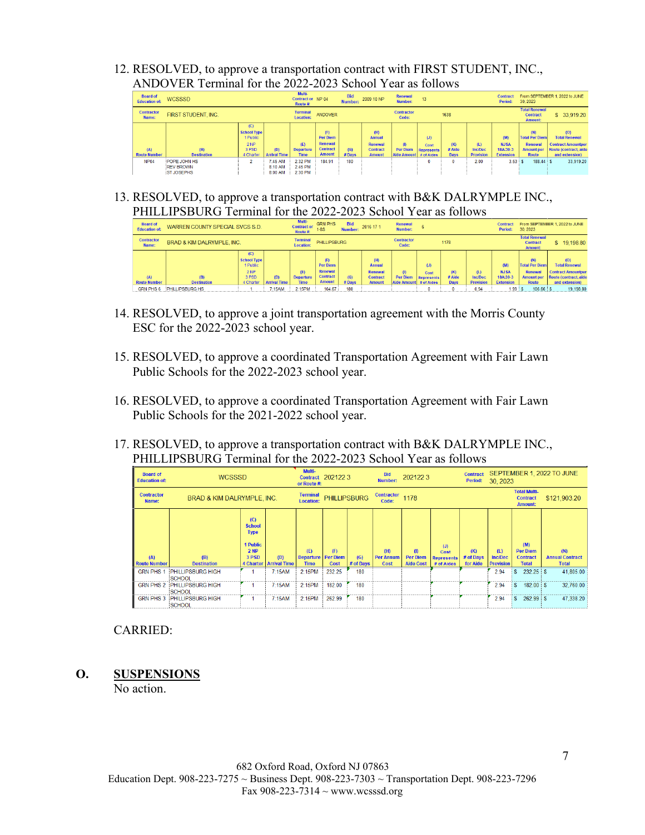12. RESOLVED, to approve a transportation contract with FIRST STUDENT, INC., ANDOVER Terminal for the 2022-2023 School Year as follows

| <b>Board of</b><br><b>Education of:</b> | <b>WCSSSD</b>                                         |                                                                     |                               | Multi-<br>Contract or NP 04<br>Route #: |                                                                       | <b>Bid</b><br>Number: | 2009 10 NP                                                          | Renewal<br>Number:                    | 13                                             |                              |                                    | <b>Contract</b><br>Period:                         | 30, 2023                                                              | From SEPTEMBER 1, 2022 to JUNE                                                                      |
|-----------------------------------------|-------------------------------------------------------|---------------------------------------------------------------------|-------------------------------|-----------------------------------------|-----------------------------------------------------------------------|-----------------------|---------------------------------------------------------------------|---------------------------------------|------------------------------------------------|------------------------------|------------------------------------|----------------------------------------------------|-----------------------------------------------------------------------|-----------------------------------------------------------------------------------------------------|
| <b>Contractor</b><br>Name:              | <b>FIRST STUDENT, INC.</b>                            |                                                                     |                               | <b>Terminal</b><br><b>Location:</b>     | <b>ANDOVER</b>                                                        |                       |                                                                     | <b>Contractor</b><br>Code:            |                                                | 1638                         |                                    |                                                    | <b>Total Renewal</b><br><b>Contract</b><br><b>Amount:</b>             | \$33,919.20                                                                                         |
| (A)<br><b>Route Number</b>              | (B)<br><b>Destination</b>                             | (C)<br><b>School Type</b><br>1 Public<br>2 NP<br>3 PSD<br>4 Charter | (D)<br><b>Arrival Time</b>    | (E)<br><b>Departure</b><br>Time         | (F)<br><b>Per Diem</b><br>Renewal<br><b>Contract</b><br><b>Amount</b> | (G)<br># Days         | (H)<br><b>Annual</b><br>Renewal<br><b>Contract</b><br><b>Amount</b> | (1)<br><b>Per Diem</b><br>Aide Amount | (J)<br>Cost<br><b>Represents</b><br># of Aides | (K)<br># Aide<br><b>Davs</b> | (L)<br>Inc/Dec<br><b>Provision</b> | (M)<br><b>NJSA</b><br>18A:39-3<br><b>Extension</b> | (N)<br><b>Total Per Diem</b><br>Renewal<br><b>Amount per</b><br>Route | (O)<br><b>Total Renewal</b><br><b>Contract Amountper</b><br>Route (contract, aide<br>and extension) |
| <b>NP04</b>                             | POPE JOHN HS<br><b>REV BROWN</b><br><b>ST JOSEPHS</b> | $\sim$                                                              | 7:45 AM<br>8:10 AM<br>8:00 AM | 2:32 PM<br>2:45 PM<br>2:30 PM           | 184.91                                                                | 180                   |                                                                     |                                       |                                                | 0                            | 2.00                               | $3.53$ $\sqrt{5}$                                  | $188.44$ S                                                            | 33,919.20                                                                                           |

13. RESOLVED, to approve a transportation contract with B&K DALRYMPLE INC., PHILLIPSBURG Terminal for the 2022-2023 School Year as follows

| <b>Board of</b><br><b>Education of:</b> | WARREN COUNTY SPECIAL SVCS S.D.       | Multi-<br><b>Contract or</b><br>Route #:                                       | <b>GRN PHS</b><br>$1-8S$   | <b>Bid</b><br>Number:                  | 2016 17 1                                                      | Renewal<br><b>Number:</b> |                                                                     |                                       |                                         | <b>Contract</b><br>Period:   | 30.2023                            | From SEPTEMBER 1, 2022 to JUNE                     |                                                                        |                                                                                                     |
|-----------------------------------------|---------------------------------------|--------------------------------------------------------------------------------|----------------------------|----------------------------------------|----------------------------------------------------------------|---------------------------|---------------------------------------------------------------------|---------------------------------------|-----------------------------------------|------------------------------|------------------------------------|----------------------------------------------------|------------------------------------------------------------------------|-----------------------------------------------------------------------------------------------------|
| <b>Contractor</b><br>Name:              | <b>BRAD &amp; KIM DALRYMPLE, INC.</b> |                                                                                |                            |                                        | <b>PHILLIPSBURG</b>                                            |                           |                                                                     | <b>Contractor</b><br>Code:            |                                         | 1178                         |                                    |                                                    | <b>Total Renewal</b><br><b>Contract</b><br><b>Amount:</b>              | \$19,198.80                                                                                         |
| (A)<br><b>Route Number</b>              | (B)<br><b>Destination</b>             | (C)<br><b>School Type</b><br>1 Public<br>2 <sub>NP</sub><br>3 PSD<br>4 Charter | (D)<br><b>Arrival Time</b> | (E)<br><b>Departure</b><br><b>Time</b> | (F)<br>Per Diem<br>Renewal<br><b>Contract</b><br><b>Amount</b> | (G)<br>#Days              | (H)<br><b>Annual</b><br>Renewal<br><b>Contract</b><br><b>Amount</b> | (1)<br><b>Per Diem</b><br>Aide Amount | (J)<br>Cost<br>Represents<br># of Aides | (K)<br># Aide<br><b>Days</b> | (L)<br>Inc/Dec<br><b>Provision</b> | (M)<br><b>NJSA</b><br>18A:39-3<br><b>Extension</b> | (N)<br><b>Total Per Diemi</b><br>Renewal<br><b>Amount per</b><br>Route | (O)<br><b>Total Renewal</b><br><b>Contract Amountper</b><br>Route (contract, aide<br>and extension) |
| <b>GRN PHS 6</b>                        | PHILLIPSBURG HS                       |                                                                                | 7:15AM                     | 2:15PM                                 | 104.67                                                         | 180                       |                                                                     |                                       |                                         |                              | 0.94                               | 1.99:                                              | $106.66$ $\pm$ \$                                                      | 19,198.80                                                                                           |

- 14. RESOLVED, to approve a joint transportation agreement with the Morris County ESC for the 2022-2023 school year.
- 15. RESOLVED, to approve a coordinated Transportation Agreement with Fair Lawn Public Schools for the 2022-2023 school year.
- 16. RESOLVED, to approve a coordinated Transportation Agreement with Fair Lawn Public Schools for the 2021-2022 school year.
- 17. RESOLVED, to approve a transportation contract with B&K DALRYMPLE INC., PHILLIPSBURG Terminal for the 2022-2023 School Year as follows

| <b>Board of</b><br><b>Education of:</b> | <b>WCSSSD</b>                             | Multi-<br>or Route #:                                                                       | Contract 2021223           |                                        | <b>Bid</b><br><b>Number:</b>   | 2021223          |                                 | <b>Contract</b><br>Period:                 | 30, 2023                                       |                                                          | SEPTEMBER 1, 2022 TO JUNE          |                                                           |                                               |
|-----------------------------------------|-------------------------------------------|---------------------------------------------------------------------------------------------|----------------------------|----------------------------------------|--------------------------------|------------------|---------------------------------|--------------------------------------------|------------------------------------------------|----------------------------------------------------------|------------------------------------|-----------------------------------------------------------|-----------------------------------------------|
| <b>Contractor</b><br>Name:              | <b>BRAD &amp; KIM DALRYMPLE. INC.</b>     | <b>Terminal</b><br><b>Location:</b>                                                         | <b>PHILLIPSBURG</b>        |                                        | <b>Contractor</b><br>Code:     | 1178             |                                 |                                            |                                                | <b>Total Multi-</b><br><b>Contract</b><br><b>Amount:</b> | \$121,903.20                       |                                                           |                                               |
| (A)<br><b>Route Number</b>              | (B)<br><b>Destination</b>                 | (C)<br><b>School</b><br><b>Type</b><br>1 Public<br><b>2 NP</b><br>3 PSD<br><b>4 Charter</b> | (D)<br><b>Arrival Time</b> | (E)<br><b>Departure</b><br><b>Time</b> | (F)<br><b>Per Diem</b><br>Cost | (G)<br># of Days | (H)<br><b>Per Annum</b><br>Cost | (1)<br><b>Per Diem</b><br><b>Aide Cost</b> | (J)<br>Cost<br><b>Represents</b><br># of Aides | (K)<br># of Days<br>for Aide                             | (L)<br>Inc/Dec<br><b>Provision</b> | (M)<br><b>Per Diem</b><br><b>Contract</b><br><b>Total</b> | (N)<br><b>Annual Contract</b><br><b>Total</b> |
| <b>GRN PHS 1</b>                        | <b>PHILLIPSBURG HIGH</b><br><b>SCHOOL</b> |                                                                                             | 7:15AM                     | 2:15PM                                 | 232.25                         | 180              |                                 |                                            |                                                |                                                          | 2.94                               | $232.25$ \$                                               | 41,805.00                                     |
| <b>GRN PHS 2</b>                        | <b>PHILLIPSBURG HIGH</b><br>SCHOOL        |                                                                                             | 7:15AM                     | 2:15PM                                 | 182.00                         | 180              |                                 |                                            |                                                |                                                          | 2.94                               | $182.00$ \$                                               | 32,760.00                                     |
| <b>GRN PHS 3</b>                        | <b>PHILLIPSBURG HIGH</b><br>SCHOOL        |                                                                                             | 7:15AM                     | 2:15PM                                 | 262.99                         | 180              |                                 |                                            |                                                |                                                          | 2.94                               | $262.99$ \$<br>s                                          | 47,338.20                                     |

# CARRIED:

**O. SUSPENSIONS** 

No action.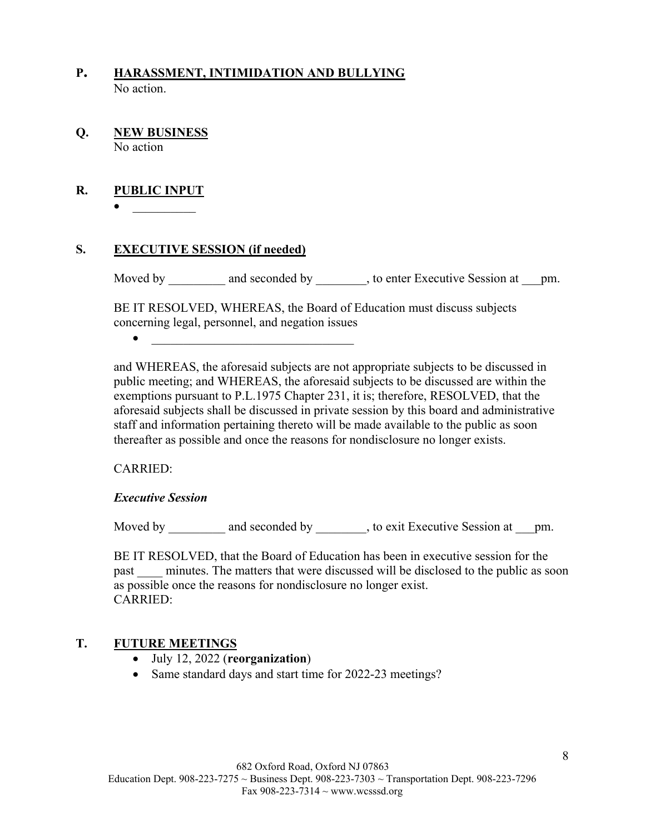- **P. HARASSMENT, INTIMIDATION AND BULLYING**  No action.
- **Q. NEW BUSINESS**  No action

# **R. PUBLIC INPUT**

 $\bullet$ 

#### **S. EXECUTIVE SESSION (if needed)**

Moved by and seconded by , to enter Executive Session at pm.

BE IT RESOLVED, WHEREAS, the Board of Education must discuss subjects concerning legal, personnel, and negation issues

 $\bullet$   $\qquad \qquad$ 

and WHEREAS, the aforesaid subjects are not appropriate subjects to be discussed in public meeting; and WHEREAS, the aforesaid subjects to be discussed are within the exemptions pursuant to P.L.1975 Chapter 231, it is; therefore, RESOLVED, that the aforesaid subjects shall be discussed in private session by this board and administrative staff and information pertaining thereto will be made available to the public as soon thereafter as possible and once the reasons for nondisclosure no longer exists.

#### CARRIED:

#### *Executive Session*

Moved by \_\_\_\_\_\_\_\_\_\_ and seconded by \_\_\_\_\_\_\_\_, to exit Executive Session at \_\_\_pm.

BE IT RESOLVED, that the Board of Education has been in executive session for the past minutes. The matters that were discussed will be disclosed to the public as soon as possible once the reasons for nondisclosure no longer exist. CARRIED:

# **T. FUTURE MEETINGS**

- July 12, 2022 (**reorganization**)
- Same standard days and start time for 2022-23 meetings?